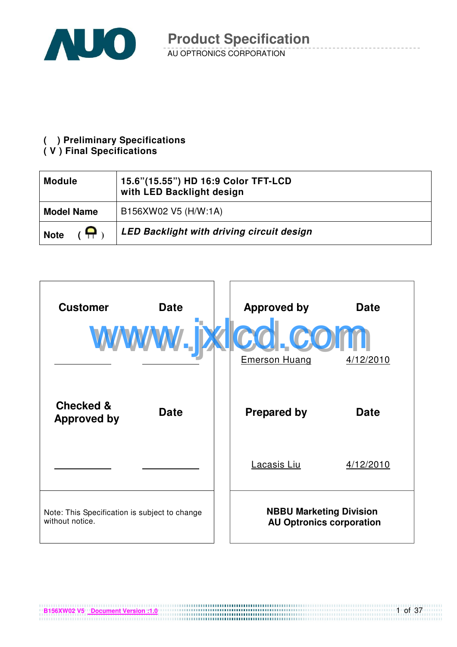

### **( ) Preliminary Specifications**

#### **( V ) Final Specifications**

| <b>Module</b>           | 15.6"(15.55") HD 16:9 Color TFT-LCD<br>with LED Backlight design |
|-------------------------|------------------------------------------------------------------|
| <b>Model Name</b>       | B156XW02 V5 (H/W:1A)                                             |
| <u>e</u><br><b>Note</b> | LED Backlight with driving circuit design                        |



**B156XW02 V5** Document Version :1.0

1 of 37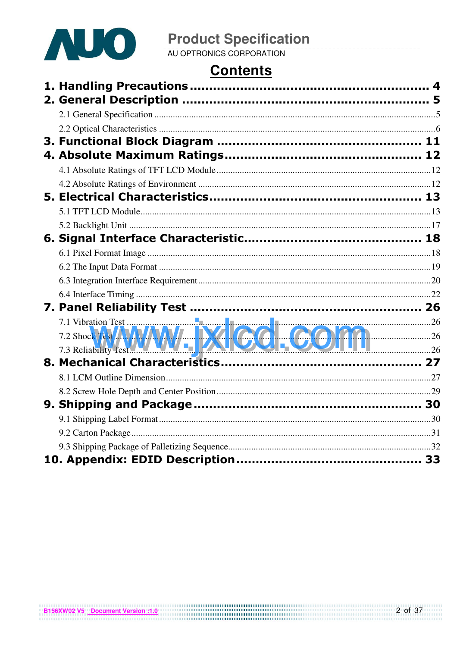

# **Contents**

| 7.1 Vibration Test<br>7.2 Shock Test AWW DV DV COLORED 26 |  |
|-----------------------------------------------------------|--|
|                                                           |  |
|                                                           |  |
|                                                           |  |
|                                                           |  |
|                                                           |  |
|                                                           |  |
|                                                           |  |
|                                                           |  |
|                                                           |  |
|                                                           |  |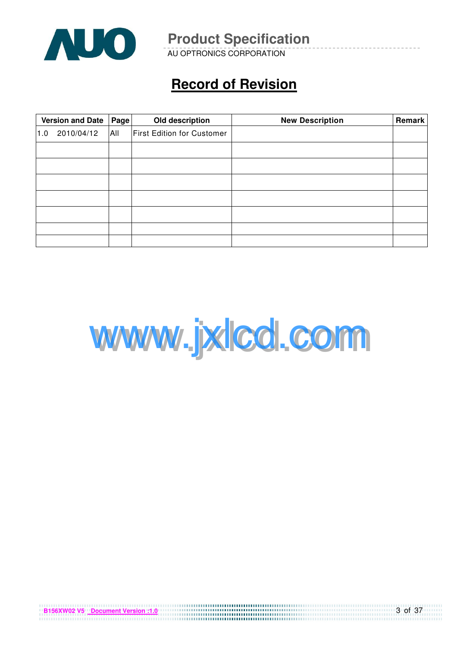

AU OPTRONICS CORPORATION

# **Record of Revision**

|     | <b>Version and Date</b><br>Page |  | Old description                   | <b>New Description</b> | Remark |
|-----|---------------------------------|--|-----------------------------------|------------------------|--------|
| 1.0 | All<br>2010/04/12               |  | <b>First Edition for Customer</b> |                        |        |
|     |                                 |  |                                   |                        |        |
|     |                                 |  |                                   |                        |        |
|     |                                 |  |                                   |                        |        |
|     |                                 |  |                                   |                        |        |
|     |                                 |  |                                   |                        |        |
|     |                                 |  |                                   |                        |        |
|     |                                 |  |                                   |                        |        |



3 of 37

| <b>B156XW02 V5</b> Document Version :1.0 |  |  |  |  |  |  |  |  |  |  |  |  |  |  |
|------------------------------------------|--|--|--|--|--|--|--|--|--|--|--|--|--|--|
|                                          |  |  |  |  |  |  |  |  |  |  |  |  |  |  |
|                                          |  |  |  |  |  |  |  |  |  |  |  |  |  |  |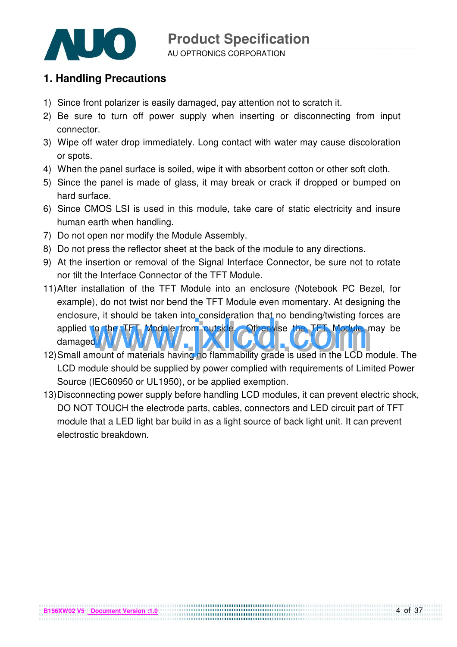

#### AU OPTRONICS CORPORATION

### **1. Handling Precautions**

- 1) Since front polarizer is easily damaged, pay attention not to scratch it.
- 2) Be sure to turn off power supply when inserting or disconnecting from input connector.
- 3) Wipe off water drop immediately. Long contact with water may cause discoloration or spots.
- 4) When the panel surface is soiled, wipe it with absorbent cotton or other soft cloth.
- 5) Since the panel is made of glass, it may break or crack if dropped or bumped on hard surface.
- 6) Since CMOS LSI is used in this module, take care of static electricity and insure human earth when handling.
- 7) Do not open nor modify the Module Assembly.
- 8) Do not press the reflector sheet at the back of the module to any directions.
- 9) At the insertion or removal of the Signal Interface Connector, be sure not to rotate nor tilt the Interface Connector of the TFT Module.
- 11) After installation of the TFT Module into an enclosure (Notebook PC Bezel, for example), do not twist nor bend the TFT Module even momentary. At designing the enclosure, it should be taken into consideration that no bending/twisting forces are applied to the TFT Module from outside. Otherwise the TFT Module may be damaged. 12) Small amount of materials having no flammability grade is used in the LCD module. The
- LCD module should be supplied by power complied with requirements of Limited Power Source (IEC60950 or UL1950), or be applied exemption.
- 13) Disconnecting power supply before handling LCD modules, it can prevent electric shock, DO NOT TOUCH the electrode parts, cables, connectors and LED circuit part of TFT module that a LED light bar build in as a light source of back light unit. It can prevent electrostic breakdown.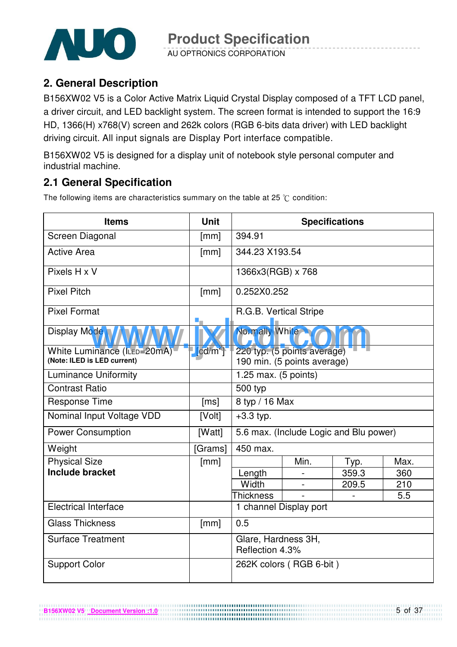

AU OPTRONICS CORPORATION

### **2. General Description**

B156XW02 V5 is a Color Active Matrix Liquid Crystal Display composed of a TFT LCD panel, a driver circuit, and LED backlight system. The screen format is intended to support the 16:9 HD, 1366(H) x768(V) screen and 262k colors (RGB 6-bits data driver) with LED backlight driving circuit. All input signals are Display Port interface compatible.

B156XW02 V5 is designed for a display unit of notebook style personal computer and industrial machine.

### **2.1 General Specification**

The following items are characteristics summary on the table at 25  $\degree$ C condition:

| <b>Items</b>                                               | <b>Unit</b>                   |                                                            |                         | <b>Specifications</b>                  |      |  |  |
|------------------------------------------------------------|-------------------------------|------------------------------------------------------------|-------------------------|----------------------------------------|------|--|--|
| Screen Diagonal                                            | [mm]                          | 394.91                                                     |                         |                                        |      |  |  |
| <b>Active Area</b>                                         | [mm]                          | 344.23 X193.54                                             |                         |                                        |      |  |  |
| Pixels H x V                                               |                               | 1366x3(RGB) x 768                                          |                         |                                        |      |  |  |
| <b>Pixel Pitch</b>                                         | [mm]                          | 0.252X0.252                                                |                         |                                        |      |  |  |
| <b>Pixel Format</b>                                        |                               | R.G.B. Vertical Stripe                                     |                         |                                        |      |  |  |
| <b>Display Mode</b>                                        |                               | Normally White                                             |                         |                                        |      |  |  |
| White Luminance (ILED=20mA)<br>(Note: ILED is LED current) | $\lceil \text{cd/m}^2 \rceil$ | 220 typ. (5 points average)<br>190 min. (5 points average) |                         |                                        |      |  |  |
| <b>Luminance Uniformity</b>                                |                               | 1.25 max. $(5$ points)                                     |                         |                                        |      |  |  |
| <b>Contrast Ratio</b>                                      |                               | 500 typ                                                    |                         |                                        |      |  |  |
| <b>Response Time</b>                                       | [ms]                          | 8 typ / 16 Max                                             |                         |                                        |      |  |  |
| Nominal Input Voltage VDD                                  | [Volt]                        | $+3.3$ typ.                                                |                         |                                        |      |  |  |
| <b>Power Consumption</b>                                   | [Watt]                        |                                                            |                         | 5.6 max. (Include Logic and Blu power) |      |  |  |
| Weight                                                     | [Grams]                       | 450 max.                                                   |                         |                                        |      |  |  |
| <b>Physical Size</b>                                       | [mm]                          |                                                            | Min.                    | Typ.                                   | Max. |  |  |
| <b>Include bracket</b>                                     |                               | Length                                                     |                         | 359.3                                  | 360  |  |  |
|                                                            |                               | Width                                                      |                         | 209.5                                  | 210  |  |  |
|                                                            |                               | <b>Thickness</b>                                           |                         |                                        | 5.5  |  |  |
| <b>Electrical Interface</b>                                |                               |                                                            | 1 channel Display port  |                                        |      |  |  |
| <b>Glass Thickness</b>                                     | [mm]                          | 0.5                                                        |                         |                                        |      |  |  |
| <b>Surface Treatment</b>                                   |                               | Glare, Hardness 3H,<br>Reflection 4.3%                     |                         |                                        |      |  |  |
| <b>Support Color</b>                                       |                               |                                                            | 262K colors (RGB 6-bit) |                                        |      |  |  |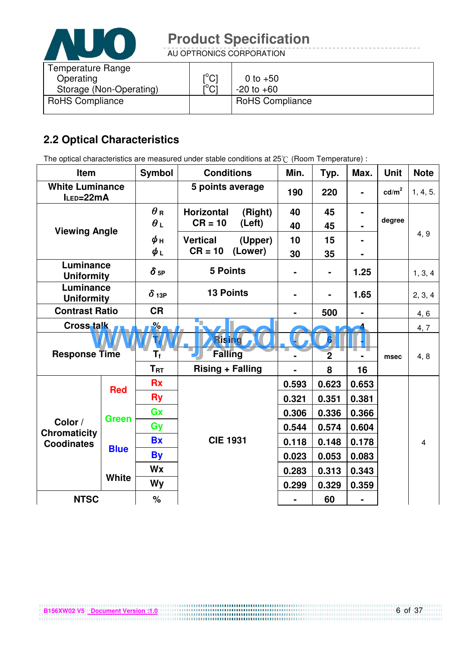

AU OPTRONICS CORPORATION

| Temperature Range<br>Operating<br>Storage (Non-Operating) | $\mathsf{I}^\circ\mathsf{C}1$<br>$\mathsf{I}^\circ\mathsf{Cl}$ | 0 to $+50$<br>$-20$ to $+60$ |
|-----------------------------------------------------------|----------------------------------------------------------------|------------------------------|
| <b>RoHS Compliance</b>                                    |                                                                | <b>RoHS Compliance</b>       |

### **2.2 Optical Characteristics**

The optical characteristics are measured under stable conditions at 25°C (Room Temperature) :

| Item                                |              | <b>Symbol</b>           | <b>Conditions</b>          |         | Min.  | Typ.             | Max.  | <b>Unit</b>     | <b>Note</b>    |
|-------------------------------------|--------------|-------------------------|----------------------------|---------|-------|------------------|-------|-----------------|----------------|
| <b>White Luminance</b><br>ILED=22mA |              |                         | 5 points average           |         | 190   | 220              |       | $\text{cd/m}^2$ | 1, 4, 5.       |
|                                     |              | $\theta$ R              | <b>Horizontal</b>          | (Right) | 40    | 45               |       |                 |                |
| <b>Viewing Angle</b>                |              | $\theta_L$              | $CR = 10$                  | (Left)  | 40    | 45               |       | degree          |                |
|                                     |              | ψн                      | <b>Vertical</b><br>(Upper) |         | 10    | 15               |       |                 | 4, 9           |
|                                     |              | $\phi_L$                | $CR = 10$                  | (Lower) | 30    | 35               |       |                 |                |
| Luminance<br><b>Uniformity</b>      |              | $\delta$ <sub>5P</sub>  | <b>5 Points</b>            |         |       | $\blacksquare$   | 1.25  |                 | 1, 3, 4        |
| Luminance<br><b>Uniformity</b>      |              | $\delta$ 13P            | <b>13 Points</b>           |         |       |                  | 1.65  |                 | 2, 3, 4        |
| <b>Contrast Ratio</b>               |              | <b>CR</b>               |                            |         |       | 500              |       |                 | 4, 6           |
| Cross talk                          |              | $\frac{9}{6}$           | 'n.                        |         |       |                  |       |                 | 4, 7           |
|                                     |              |                         | Rising                     |         |       | $\boldsymbol{6}$ |       |                 |                |
| <b>Response Time</b>                |              | $\mathsf{T}_\mathsf{f}$ | <b>Falling</b>             |         |       | $\overline{2}$   |       | msec            | 4, 8           |
|                                     |              | $T_{\rm RT}$            | <b>Rising + Falling</b>    |         | 8     | 16               |       |                 |                |
|                                     | <b>Red</b>   | <b>Rx</b>               |                            |         | 0.593 | 0.623            | 0.653 |                 |                |
|                                     |              | <b>Ry</b>               |                            |         | 0.321 | 0.351            | 0.381 |                 |                |
|                                     | <b>Green</b> | Gx                      |                            |         | 0.306 | 0.336            | 0.366 |                 |                |
| Color /<br><b>Chromaticity</b>      |              | Gy                      |                            |         | 0.544 | 0.574            | 0.604 |                 |                |
| <b>Coodinates</b>                   | <b>Blue</b>  | <b>Bx</b>               | <b>CIE 1931</b>            |         | 0.118 | 0.148            | 0.178 |                 | $\overline{4}$ |
|                                     |              | <b>By</b>               |                            |         | 0.023 | 0.053            | 0.083 |                 |                |
|                                     |              | <b>Wx</b>               |                            |         | 0.283 | 0.313            | 0.343 |                 |                |
|                                     | <b>White</b> | <b>Wy</b>               |                            | 0.299   | 0.329 | 0.359            |       |                 |                |
| <b>NTSC</b>                         |              | %                       |                            |         |       | 60               |       |                 |                |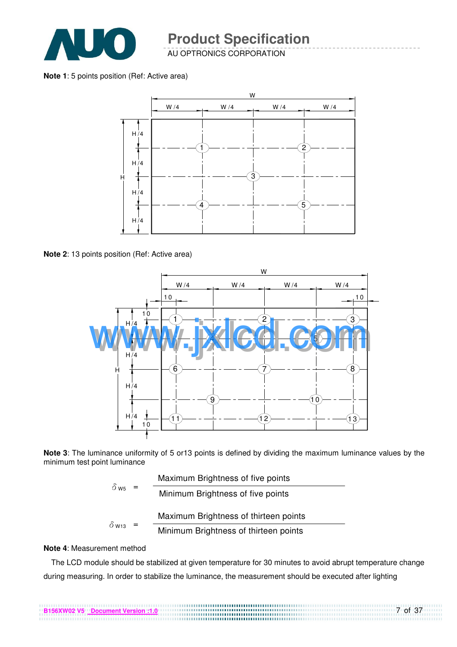

AU OPTRONICS CORPORATION

**Note 1**: 5 points position (Ref: Active area)



**Note 2**: 13 points position (Ref: Active area)



**Note 3**: The luminance uniformity of 5 or13 points is defined by dividing the maximum luminance values by the minimum test point luminance

| $\delta$ w <sub>5</sub>  | Maximum Brightness of five points     |
|--------------------------|---------------------------------------|
|                          | Minimum Brightness of five points     |
|                          | Maximum Brightness of thirteen points |
| $\delta$ W <sub>13</sub> | Minimum Brightness of thirteen points |

#### **Note 4**: Measurement method

The LCD module should be stabilized at given temperature for 30 minutes to avoid abrupt temperature change during measuring. In order to stabilize the luminance, the measurement should be executed after lighting

7 of 37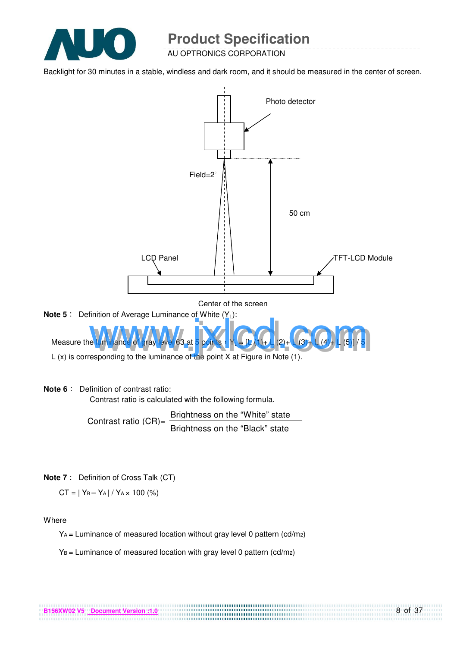

AU OPTRONICS CORPORATION

Backlight for 30 minutes in a stable, windless and dark room, and it should be measured in the center of screen.



Contrast ratio  $(CR)$ = Brightness on the "White" state Brightness on the "Black" state

**Note 7** : Definition of Cross Talk (CT)

 $CT = |Y_B - Y_A| / Y_A \times 100$  (%)

#### Where

 $Y_A$  = Luminance of measured location without gray level 0 pattern (cd/m<sub>2</sub>)

 $Y_B =$  Luminance of measured location with gray level 0 pattern (cd/m2)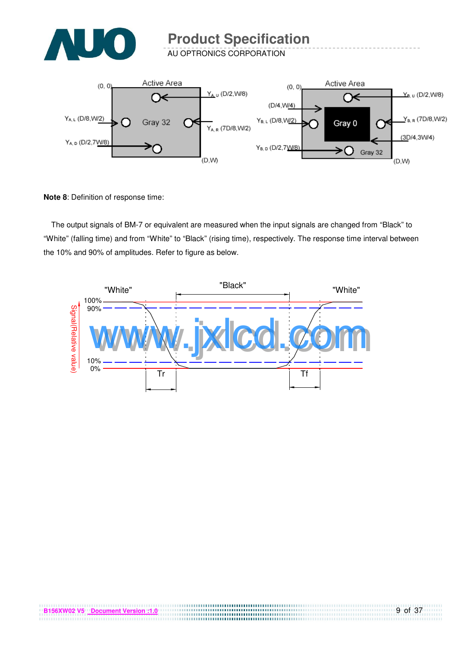

AU OPTRONICS CORPORATION



**Note 8**: Definition of response time:

The output signals of BM-7 or equivalent are measured when the input signals are changed from "Black" to "White" (falling time) and from "White" to "Black" (rising time), respectively. The response time interval between the 10% and 90% of amplitudes. Refer to figure as below.



....................................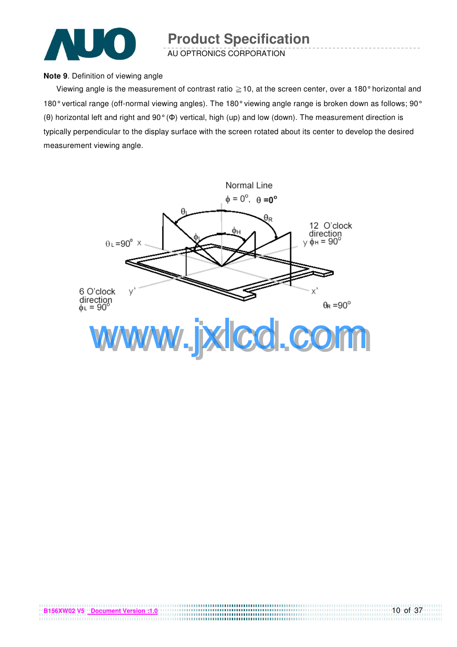

AU OPTRONICS CORPORATION

#### **Note 9**. Definition of viewing angle

Viewing angle is the measurement of contrast ratio  $\geq$  10, at the screen center, over a 180° horizontal and 180° vertical range (off-normal viewing angles). The 180° viewing angle range is broken down as follows; 90° (θ) horizontal left and right and 90° (Φ) vertical, high (up) and low (down). The measurement direction is typically perpendicular to the display surface with the screen rotated about its center to develop the desired measurement viewing angle.

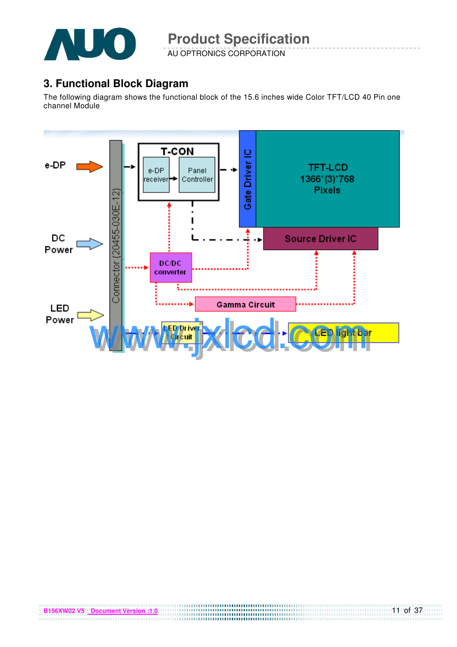

AU OPTRONICS CORPORATION

### **3. Functional Block Diagram**

The following diagram shows the functional block of the 15.6 inches wide Color TFT/LCD 40 Pin one channel Module

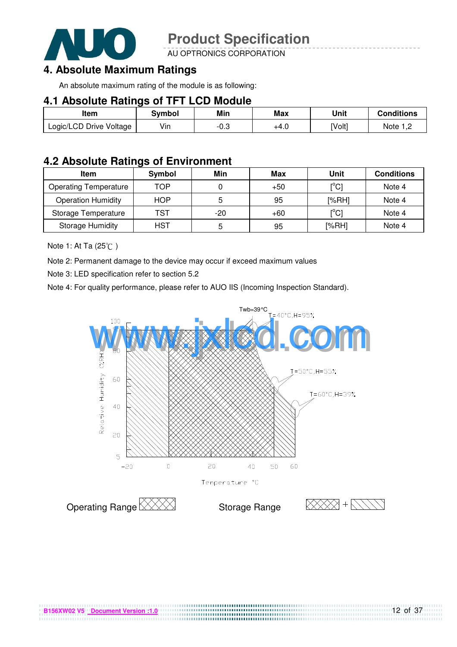

AU OPTRONICS CORPORATION

### **4. Absolute Maximum Ratings**

An absolute maximum rating of the module is as following:

#### **4.1 Absolute Ratings of TFT LCD Module**

| Item                    | <b>Symbol</b> | Min    | <b>Max</b> | Unit   | <b>Conditions</b> |
|-------------------------|---------------|--------|------------|--------|-------------------|
| Logic/LCD Drive Voltage | Vin           | $-0.3$ | +4.0       | [Volt] | Note $1,2$        |

### **4.2 Absolute Ratings of Environment**

| <b>Item</b>                  | Symbol     | Min   | Max   | Unit                                    | <b>Conditions</b> |
|------------------------------|------------|-------|-------|-----------------------------------------|-------------------|
| <b>Operating Temperature</b> | TOP        |       | $+50$ | $\mathsf{I}^\circ\mathsf{C} \mathsf{I}$ | Note 4            |
| <b>Operation Humidity</b>    | <b>HOP</b> | 5     | 95    | [%RH]                                   | Note 4            |
| Storage Temperature          | TST        | $-20$ | $+60$ | $\mathsf{I}^{\circ}$ Cl                 | Note 4            |
| <b>Storage Humidity</b>      | HST        | 5     | 95    | [%RH]                                   | Note 4            |

Note 1: At Ta (25°C)

Note 2: Permanent damage to the device may occur if exceed maximum values

Note 3: LED specification refer to section 5.2

Note 4: For quality performance, please refer to AUO IIS (Incoming Inspection Standard).

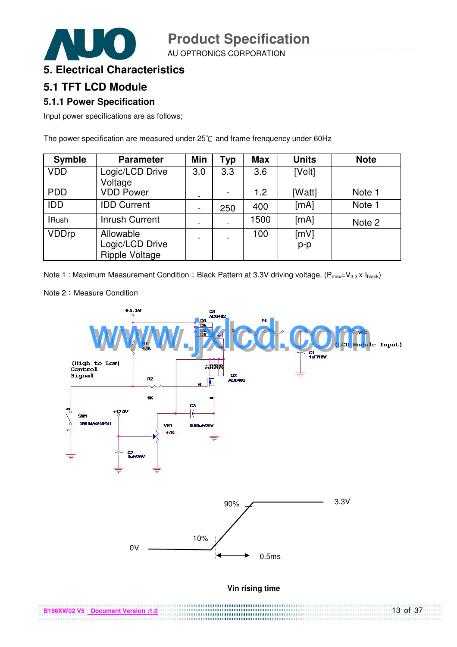AU OPTRONICS CORPORATION

### **5. Electrical Characteristics**

### **5.1 TFT LCD Module**

#### **5.1.1 Power Specification**

Input power specifications are as follows;

The power specification are measured under  $25^{\circ}$ C and frame frenquency under 60Hz

| <b>Symble</b> | <b>Parameter</b>                                      | <b>Min</b>               | <b>Typ</b> | <b>Max</b> | <b>Units</b>  | <b>Note</b> |
|---------------|-------------------------------------------------------|--------------------------|------------|------------|---------------|-------------|
| <b>VDD</b>    | Logic/LCD Drive<br>Voltage                            | 3.0                      | 3.3        | 3.6        | [Volt]        |             |
| <b>PDD</b>    | <b>VDD Power</b>                                      | $\overline{\phantom{a}}$ |            | 1.2        | [Watt]        | Note 1      |
| <b>IDD</b>    | <b>IDD Current</b>                                    | $\overline{\phantom{a}}$ | 250        | 400        | [mA]          | Note 1      |
| <b>IRush</b>  | <b>Inrush Current</b>                                 |                          |            | 1500       | [mA]          | Note 2      |
| <b>VDDrp</b>  | Allowable<br>Logic/LCD Drive<br><b>Ripple Voltage</b> |                          |            | 100        | [mV]<br>$p-p$ |             |

Note 1 : Maximum Measurement Condition : Black Pattern at 3.3V driving voltage. ( $P_{max}=V_{3.3} \times I_{black}$ )



.............

13 of 37

Note 2: Measure Condition

**B156XW02 V5 Document Version :1.0**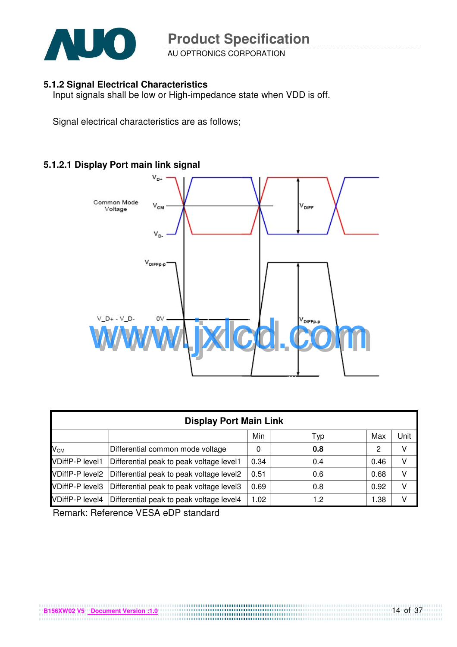

AU OPTRONICS CORPORATION

#### **5.1.2 Signal Electrical Characteristics**

Input signals shall be low or High-impedance state when VDD is off.

Signal electrical characteristics are as follows;

#### **5.1.2.1 Display Port main link signal**



|                        | <b>Display Port Main Link</b>            |      |     |      |      |  |  |  |  |  |  |  |  |
|------------------------|------------------------------------------|------|-----|------|------|--|--|--|--|--|--|--|--|
|                        |                                          | Min  | Typ | Max  | Unit |  |  |  |  |  |  |  |  |
| $V_{CM}$               | Differential common mode voltage         | 0    | 0.8 | 2    | v    |  |  |  |  |  |  |  |  |
| <b>VDiffP-P level1</b> | Differential peak to peak voltage level1 | 0.34 | 0.4 | 0.46 | v    |  |  |  |  |  |  |  |  |
| <b>VDiffP-P level2</b> | Differential peak to peak voltage level2 | 0.51 | 0.6 | 0.68 | v    |  |  |  |  |  |  |  |  |
| <b>VDiffP-P level3</b> | Differential peak to peak voltage level3 | 0.69 | 0.8 | 0.92 | v    |  |  |  |  |  |  |  |  |
| <b>VDiffP-P level4</b> | Differential peak to peak voltage level4 | 1.02 | 1.2 | 1.38 | v    |  |  |  |  |  |  |  |  |

Remark: Reference VESA eDP standard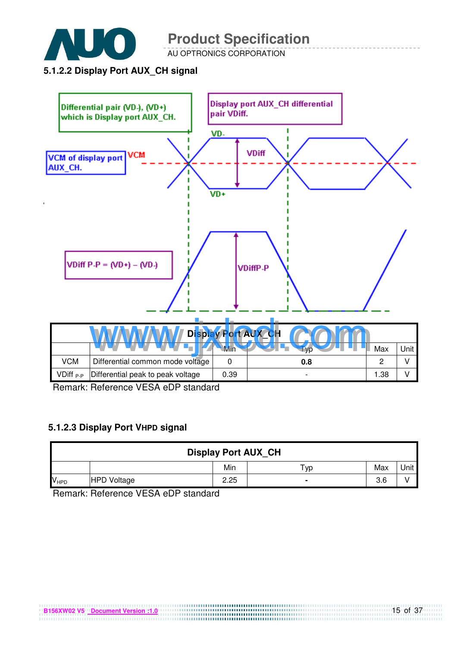

AU OPTRONICS CORPORATION

#### **5.1.2.2 Display Port AUX\_CH signal**



Remark: Reference VESA eDP standard

#### **5.1.2.3 Display Port VHPD signal**

| <b>Display Port AUX_CH</b> |                    |      |     |     |      |
|----------------------------|--------------------|------|-----|-----|------|
|                            |                    | Min  | Тур | Max | Unit |
| <b>V<sub>HPD</sub></b>     | <b>HPD Voltage</b> | 2.25 |     | 3.6 |      |

Remark: Reference VESA eDP standard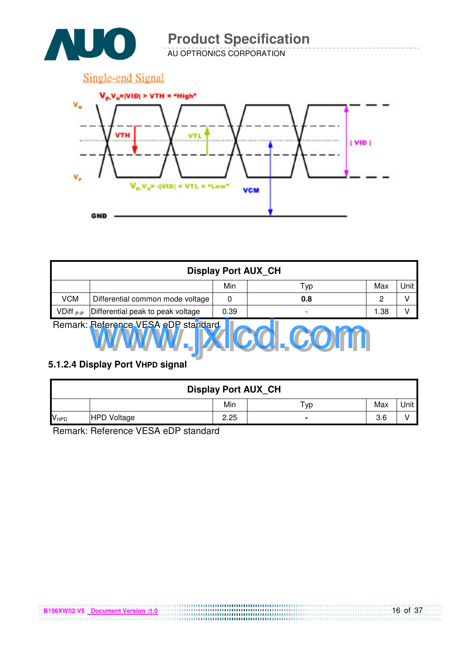

AU OPTRONICS CORPORATION



| <b>Display Port AUX CH</b> |                                                     |      |     |      |   |  |  |  |
|----------------------------|-----------------------------------------------------|------|-----|------|---|--|--|--|
|                            | Unit<br>Min<br>Max<br>Typ                           |      |     |      |   |  |  |  |
| <b>VCM</b>                 | Differential common mode voltage                    | 0    | 0.8 | 2    | v |  |  |  |
| VDiff <sub>P-P</sub>       | Differential peak to peak voltage                   | 0.39 |     | 1.38 | V |  |  |  |
|                            | Remark: Reference VESA eDP standard<br><b>V.CO.</b> |      |     |      |   |  |  |  |

#### **5.1.2.4 Display Port VHPD signal**

| <b>Display Port AUX CH</b> |                    |      |     |     |      |  |
|----------------------------|--------------------|------|-----|-----|------|--|
|                            |                    | Min  | Typ | Max | Unit |  |
| $V_{HPD}$                  | <b>HPD Voltage</b> | 2.25 |     | 3.6 |      |  |

Remark: Reference VESA eDP standard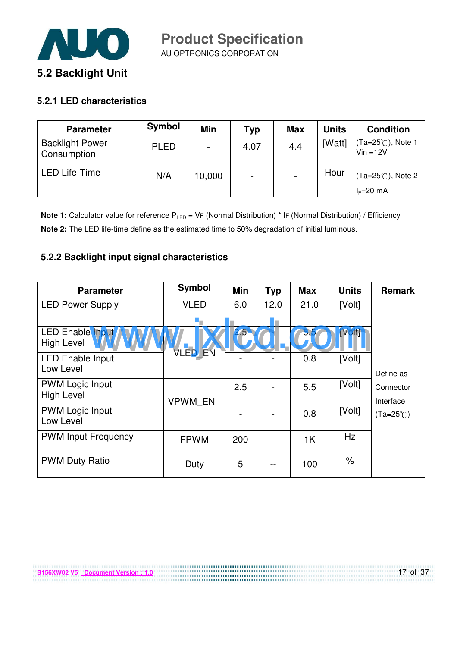

#### **5.2.1 LED characteristics**

**B156XW02 V5 Document Version : 1.0**

| <b>Parameter</b>                      | Symbol      | Min    | Typ                      | <b>Max</b> | <b>Units</b> | <b>Condition</b>                           |
|---------------------------------------|-------------|--------|--------------------------|------------|--------------|--------------------------------------------|
| <b>Backlight Power</b><br>Consumption | <b>PLED</b> |        | 4.07                     | 4.4        | [Watt]       | (Ta=25℃), Note 1<br>$Vin = 12V$            |
| <b>LED Life-Time</b>                  | N/A         | 10,000 | $\overline{\phantom{0}}$ |            | Hour         | $(Ta=25^{\circ}C)$ , Note 2<br>$I_F=20$ mA |

**Note 1:** Calculator value for reference P<sub>LED</sub> = VF (Normal Distribution) \* IF (Normal Distribution) / Efficiency **Note 2:** The LED life-time define as the estimated time to 50% degradation of initial luminous.

#### **5.2.2 Backlight input signal characteristics**

| <b>Parameter</b>                             | Symbol         | Min | <b>Typ</b> | <b>Max</b> | <b>Units</b> | <b>Remark</b>          |
|----------------------------------------------|----------------|-----|------------|------------|--------------|------------------------|
| <b>LED Power Supply</b>                      | <b>VLED</b>    | 6.0 | 12.0       | 21.0       | [Volt]       |                        |
|                                              | ٠.             |     |            |            |              |                        |
| <b>LED Enable Input</b><br><b>High Level</b> | VLED EN        | 2.5 |            | 5.5        | <b>Volth</b> |                        |
| <b>LED Enable Input</b><br>Low Level         |                |     |            | 0.8        | [Volt]       | Define as              |
| <b>PWM Logic Input</b><br><b>High Level</b>  | <b>VPWM EN</b> | 2.5 |            | 5.5        | [Volt]       | Connector<br>Interface |
| <b>PWM Logic Input</b><br>Low Level          |                |     |            | 0.8        | [Volt]       | $(Ta=25^{\circ}C)$     |
| <b>PWM Input Frequency</b>                   | <b>FPWM</b>    | 200 | --         | 1K         | Hz           |                        |
| <b>PWM Duty Ratio</b>                        | Duty           | 5   |            | 100        | $\%$         |                        |

,,,,,,,,,,,,,,,,,,,,,,,,,,,,,,,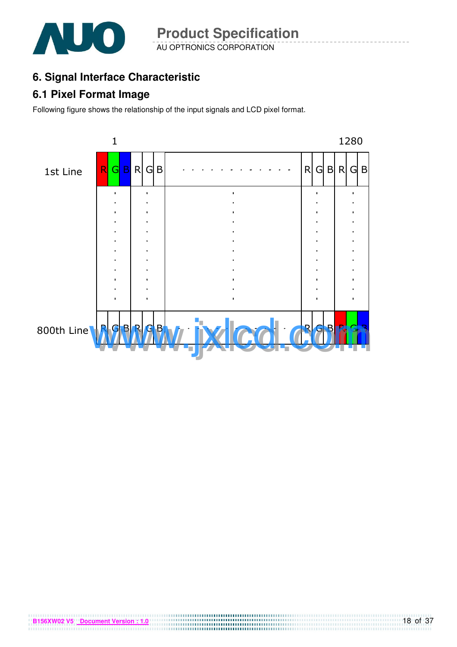

AU OPTRONICS CORPORATION **Product Specification** 

## **6. Signal Interface Characteristic**

### **6.1 Pixel Format Image**

Following figure shows the relationship of the input signals and LCD pixel format.



**B156XW02 V5** Document Version : 1.0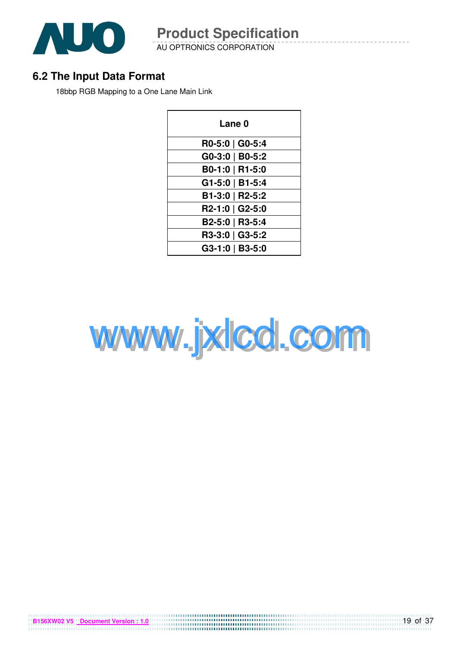

AU OPTRONICS CORPORATION **Product Specification** 

### **6.2 The Input Data Format**

18bbp RGB Mapping to a One Lane Main Link

| <b>Lane 0</b>   |
|-----------------|
| R0-5:0   G0-5:4 |
| G0-3:0   B0-5:2 |
| B0-1:0   R1-5:0 |
| G1-5:0   B1-5:4 |
| B1-3:0   R2-5:2 |
| R2-1:0   G2-5:0 |
| B2-5:0   R3-5:4 |
| R3-3:0   G3-5:2 |
| G3-1:0   B3-5:0 |



**B156XW02 V5** Document Version : 1.0

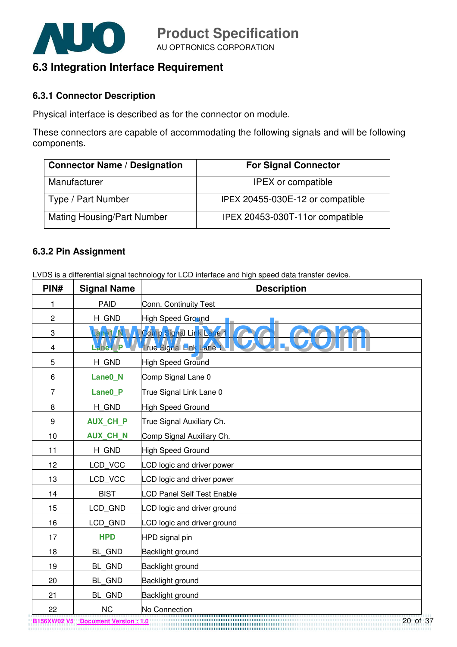

### **6.3 Integration Interface Requirement**

#### **6.3.1 Connector Description**

Physical interface is described as for the connector on module.

These connectors are capable of accommodating the following signals and will be following components.

| <b>Connector Name / Designation</b> | <b>For Signal Connector</b>      |
|-------------------------------------|----------------------------------|
| Manufacturer                        | <b>IPEX</b> or compatible        |
| Type / Part Number                  | IPEX 20455-030E-12 or compatible |
| <b>Mating Housing/Part Number</b>   | IPEX 20453-030T-11or compatible  |

#### **6.3.2 Pin Assignment**

LVDS is a differential signal technology for LCD interface and high speed data transfer device.

| PIN#           | <b>Signal Name</b>  | <b>Description</b>                |
|----------------|---------------------|-----------------------------------|
| 1              | <b>PAID</b>         | Conn. Continuity Test             |
| $\overline{c}$ | H GND               | <b>High Speed Ground</b>          |
| 3              | Lane1 N             | Comp Signal Link Lane 1           |
| 4              | ane1 P              | True Signal Link Lane             |
| 5              | H GND               | <b>High Speed Ground</b>          |
| 6              | Lane0_N             | Comp Signal Lane 0                |
| $\overline{7}$ | Lane <sub>0</sub> P | True Signal Link Lane 0           |
| 8              | H_GND               | High Speed Ground                 |
| 9              | <b>AUX CH P</b>     | True Signal Auxiliary Ch.         |
| 10             | <b>AUX CH N</b>     | Comp Signal Auxiliary Ch.         |
| 11             | H_GND               | High Speed Ground                 |
| 12             | LCD_VCC             | LCD logic and driver power        |
| 13             | LCD VCC             | LCD logic and driver power        |
| 14             | <b>BIST</b>         | <b>LCD Panel Self Test Enable</b> |
| 15             | LCD GND             | LCD logic and driver ground       |
| 16             | LCD GND             | LCD logic and driver ground       |
| 17             | <b>HPD</b>          | HPD signal pin                    |
| 18             | BL_GND              | Backlight ground                  |
| 19             | BL GND              | Backlight ground                  |
| 20             | BL GND              | Backlight ground                  |
| 21             | BL_GND              | <b>Backlight ground</b>           |
| 22             | <b>NC</b>           | No Connection                     |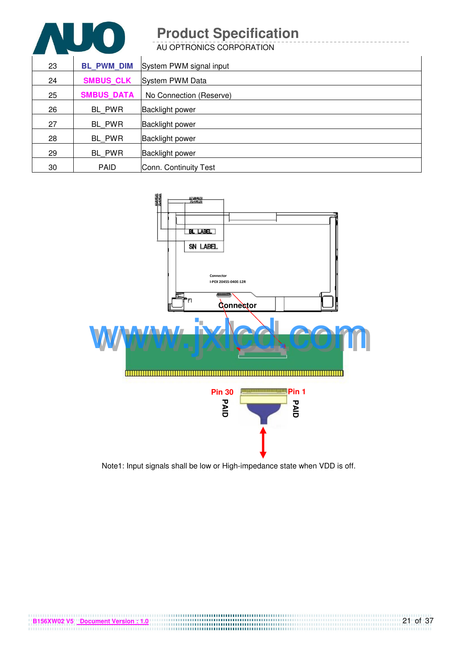AU OPTRONICS CORPORATION

| 23 | <b>BL PWM DIM</b> | System PWM signal input |
|----|-------------------|-------------------------|
| 24 | <b>SMBUS CLK</b>  | System PWM Data         |
| 25 | <b>SMBUS DATA</b> | No Connection (Reserve) |
| 26 | BL PWR            | <b>Backlight power</b>  |
| 27 | BL PWR            | <b>Backlight power</b>  |
| 28 | BL PWR            | <b>Backlight power</b>  |
| 29 | BL PWR            | <b>Backlight power</b>  |
| 30 | <b>PAID</b>       | Conn. Continuity Test   |



Note1: Input signals shall be low or High-impedance state when VDD is off.

**B156XW02 V5** <u>Document Version : 1.0</u><br> **B156XW02 V5** Document Version : 1.0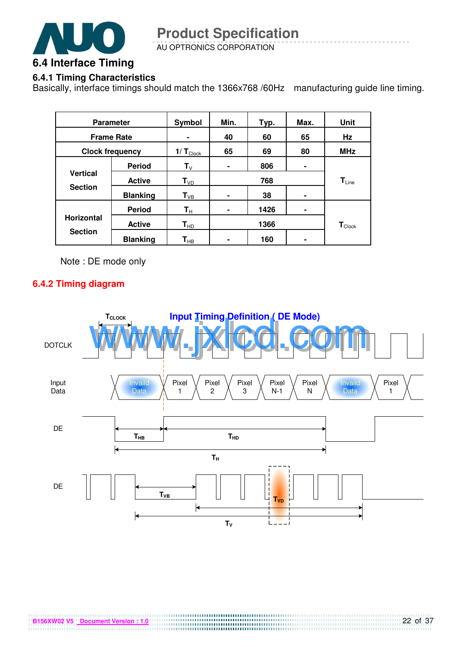

AU OPTRONICS CORPORATION

### **6.4.1 Timing Characteristics**

Basically, interface timings should match the 1366x768 /60Hz manufacturing guide line timing.

| <b>Parameter</b>       |                 | Symbol                        | Min.           | Typ. | Max. | <b>Unit</b>                 |
|------------------------|-----------------|-------------------------------|----------------|------|------|-----------------------------|
| <b>Frame Rate</b>      |                 |                               | 40             | 60   | 65   | Hz                          |
| <b>Clock frequency</b> |                 | $1/\mathbf{T}_{\text{Clock}}$ | 65             | 69   | 80   | <b>MHz</b>                  |
|                        | <b>Period</b>   | $T_{V}$                       | $\blacksquare$ | 806  |      |                             |
| <b>Vertical</b>        | <b>Active</b>   | $T_{VD}$                      |                | 768  |      | $T_{Line}$                  |
| <b>Section</b>         | <b>Blanking</b> | $T_{VB}$                      | $\blacksquare$ | 38   |      |                             |
|                        | <b>Period</b>   | $\mathsf{T}_\mathsf{H}$       | ٠              | 1426 | ۰    |                             |
| <b>Horizontal</b>      | <b>Active</b>   | $T_{HD}$                      |                | 1366 |      | $\mathbf{T}_{\text{Clock}}$ |
| <b>Section</b>         | <b>Blanking</b> | $\mathsf{T}_{\mathsf{HB}}$    | ۰              | 160  | ۰    |                             |

Note : DE mode only

#### **6.4.2 Timing diagram**

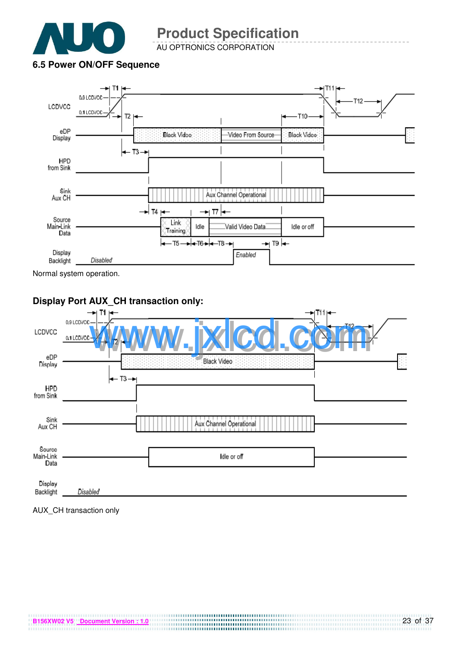

AU OPTRONICS CORPORATION

#### **6.5 Power ON/OFF Sequence**



Normal system operation.

#### **Display Port AUX\_CH transaction only:**  WWW.jxlcd.com 0.9 LCDVC LCDVCC 0.1 LCDVCC eDP Display  $T3 -$ **HPD** from Sink Sink Aux Channel Operational Aux CH Source Main-Link Idle or off Data Display Backlight Disabled

AUX\_CH transaction only

**B156XW02 V5 Document Version : 1.0**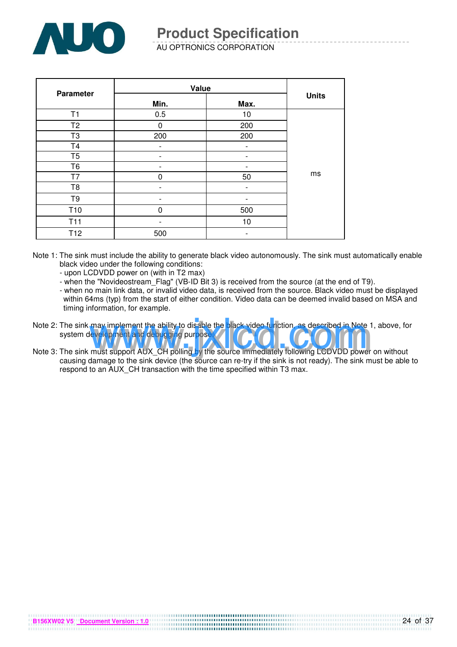

AU OPTRONICS CORPORATION

| Parameter       | Value    |      |              |
|-----------------|----------|------|--------------|
|                 | Min.     | Max. | <b>Units</b> |
| T1              | 0.5      | 10   |              |
| T <sub>2</sub>  | $\Omega$ | 200  |              |
| T <sub>3</sub>  | 200      | 200  |              |
| T <sub>4</sub>  |          |      |              |
| T <sub>5</sub>  |          |      |              |
| T <sub>6</sub>  |          |      |              |
| T7              | ი        | 50   | ms           |
| T <sub>8</sub>  |          |      |              |
| T <sub>9</sub>  |          |      |              |
| T <sub>10</sub> | 0        | 500  |              |
| T <sub>11</sub> |          | 10   |              |
| T <sub>12</sub> | 500      |      |              |

- Note 1: The sink must include the ability to generate black video autonomously. The sink must automatically enable black video under the following conditions:
	- upon LCDVDD power on (with in T2 max)

**B156XW02 V5 Document Version : 1.0**

- when the "Novideostream\_Flag" (VB-ID Bit 3) is received from the source (at the end of T9).
- when no main link data, or invalid video data, is received from the source. Black video must be displayed within 64ms (typ) from the start of either condition. Video data can be deemed invalid based on MSA and timing information, for example.
- Note 2: The sink may implement the ability to disable the black video function, as described in Note 1, above, for system development and debugging purpose. may implement the ability to disable the black video function, as described in Note 1<br>levelopment and debugging purpose.<br>must support AUX\_CH polling by the source immediately following LCDVDD power
- Note 3: The sink must support AUX\_CH polling by the source immediately following LCDVDD power on without causing damage to the sink device (the source can re-try if the sink is not ready). The sink must be able to respond to an AUX\_CH transaction with the time specified within T3 max.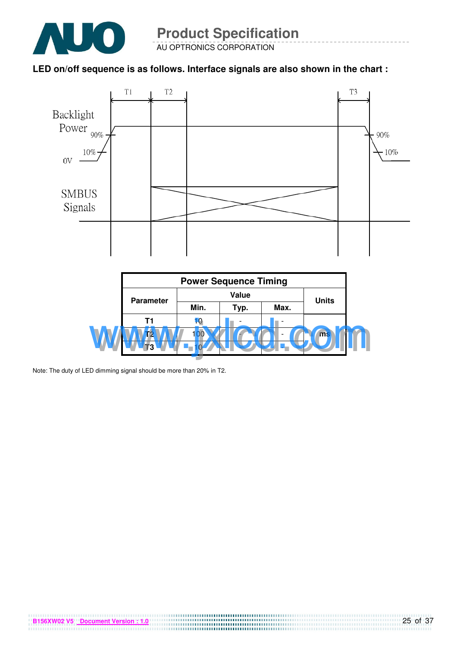

#### **LED on/off sequence is as follows. Interface signals are also shown in the chart :**





Note: The duty of LED dimming signal should be more than 20% in T2.

**B156XW02 V5** Document Version : 1.0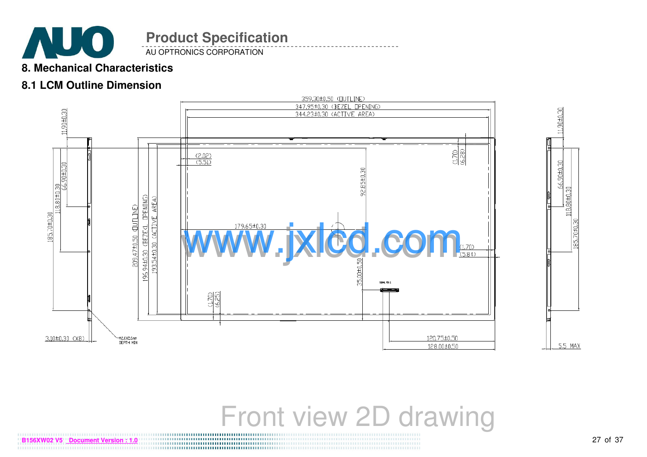

AU OPTRONICS CORPORATION

### **8. Mechanical Characteristics**

### **8.1 LCM Outline Dimension**



11,90±0.30 66.90±0.30 118,80±0. 5.5 MAX

# Front view 2D drawing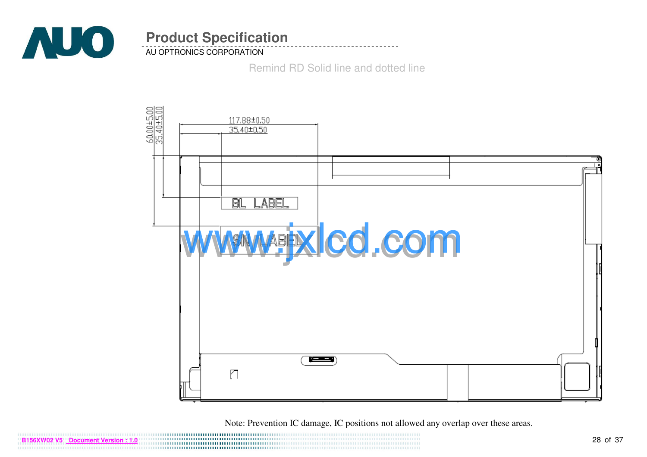

AU OPTRONICS CORPORATION

Remind RD Solid line and dotted line



Note: Prevention IC damage, IC positions not allowed any overlap over these areas.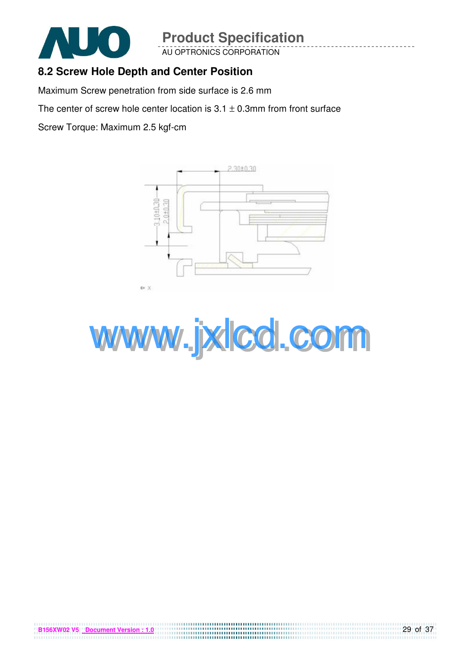

**B156XW02 V5 Document Version** 

# **Product Specification**

AU OPTRONICS CORPORATION

### **8.2 Screw Hole Depth and Center Position**

Maximum Screw penetration from side surface is 2.6 mm

The center of screw hole center location is  $3.1 \pm 0.3$ mm from front surface

Screw Torque: Maximum 2.5 kgf-cm



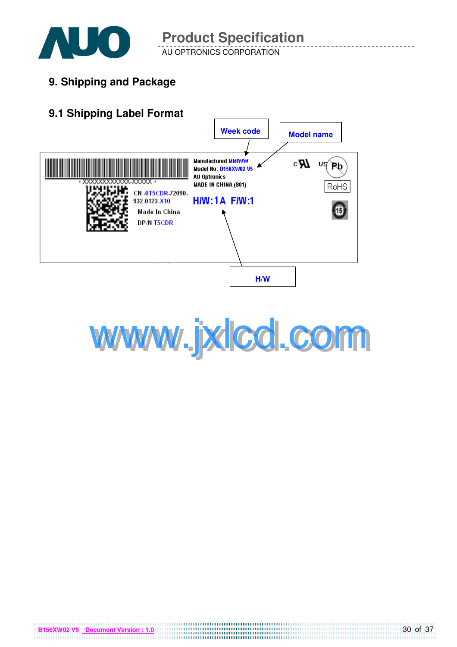

AU OPTRONICS CORPORATION

**9. Shipping and Package**

## **9.1 Shipping Label Format**



**B156XW02 V5 Document Version : 1.0**

www.jxlcd.com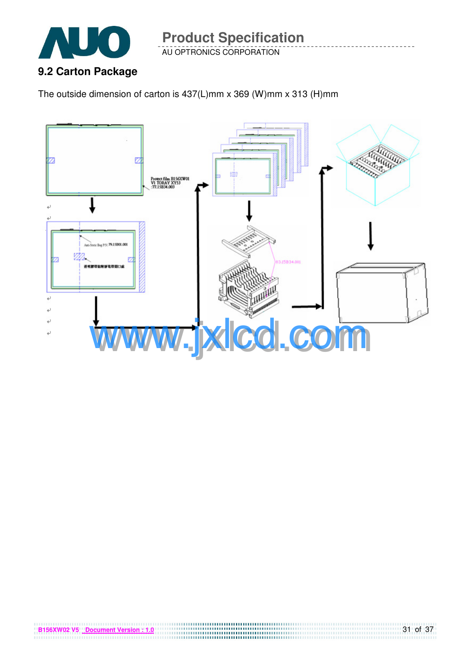

AU OPTRONICS CORPORATION

The outside dimension of carton is 437(L)mm x 369 (W)mm x 313 (H)mm

**B156XW02 V5** Document Version : 1.0

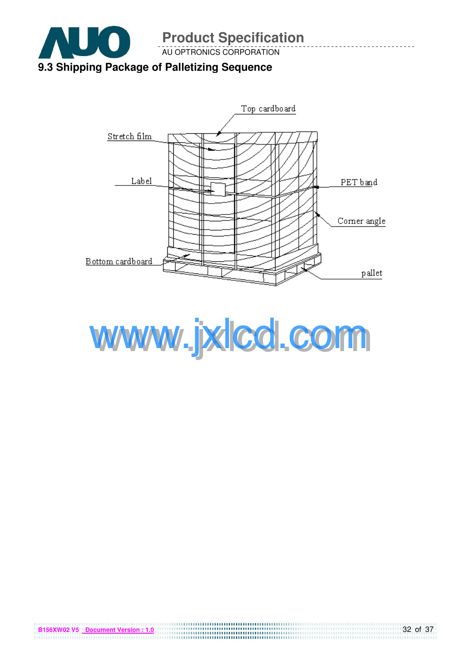

Top cardboard Stretch film Label PETband Corner angle Bottom cardboard pallet



**B156XW02 V5 Document Version : 1.0**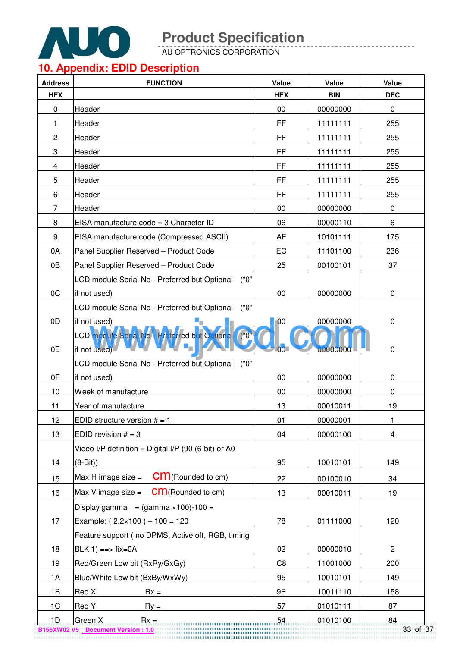

<u>.</u> . . . . . . . . .

AU OPTRONICS CORPORATION

# **10. Appendix: EDID Description**

| <b>Address</b> | <b>FUNCTION</b>                                                         | Value                | Value      | Value                   |
|----------------|-------------------------------------------------------------------------|----------------------|------------|-------------------------|
| <b>HEX</b>     |                                                                         | <b>HEX</b>           | <b>BIN</b> | <b>DEC</b>              |
| 0              | Header                                                                  | 00                   | 00000000   | 0                       |
| 1              | Header                                                                  | FF                   | 11111111   | 255                     |
| $\overline{c}$ | Header                                                                  | FF                   | 11111111   | 255                     |
| 3              | Header                                                                  | FF                   | 11111111   | 255                     |
| 4              | Header                                                                  | FF                   | 11111111   | 255                     |
| 5              | Header                                                                  | <b>FF</b>            | 11111111   | 255                     |
| 6              | Header                                                                  | FF                   | 11111111   | 255                     |
| 7              | Header                                                                  | 00                   | 00000000   | 0                       |
| 8              | EISA manufacture code = 3 Character ID                                  | 06                   | 00000110   | 6                       |
| 9              | EISA manufacture code (Compressed ASCII)                                | AF                   | 10101111   | 175                     |
| 0A             | Panel Supplier Reserved - Product Code                                  | EC                   | 11101100   | 236                     |
| 0B             | Panel Supplier Reserved - Product Code                                  | 25                   | 00100101   | 37                      |
|                | LCD module Serial No - Preferred but Optional<br>("0")                  |                      |            |                         |
| 0C             | if not used)                                                            | 00                   | 00000000   | 0                       |
|                | LCD module Serial No - Preferred but Optional<br>("0"                   |                      |            |                         |
| 0D             | if not used)                                                            | 00                   | 00000000   | 0                       |
| 0E             | LCD module Serial No. Preferred but Optional ("0"<br>۰.<br>if not used) | 0 <sub>0</sub>       | 00000000   | 0                       |
|                | $($ "0")<br>LCD module Serial No - Preferred but Optional               |                      |            |                         |
| 0F             | if not used)                                                            | 00                   | 00000000   | 0                       |
| 10             | Week of manufacture                                                     | 00                   | 00000000   | 0                       |
| 11             | Year of manufacture                                                     | 13                   | 00010011   | 19                      |
| 12             | EDID structure version $# = 1$                                          | 01                   | 00000001   | 1                       |
| 13             | EDID revision $# = 3$                                                   | 04                   | 00000100   | $\overline{\mathbf{4}}$ |
|                | Video I/P definition = Digital I/P (90 (6-bit) or A0                    |                      |            |                         |
| 14             | $(8-Bit)$                                                               | 95                   | 10010101   | 149                     |
|                | $cm$ (Rounded to cm)<br>Max H image size $=$                            |                      |            |                         |
| 15             | <b>CM</b> (Rounded to cm)<br>Max V image size $=$                       | 22                   | 00100010   | 34                      |
| 16             |                                                                         | 13                   | 00010011   | 19                      |
|                | Display gamma = $(gamma \times 100) - 100 =$                            |                      |            |                         |
| 17             | Example: $(2.2 \times 100) - 100 = 120$                                 | 78                   | 01111000   | 120                     |
|                | Feature support (no DPMS, Active off, RGB, timing                       |                      |            |                         |
| 18             | $BLK 1$ ) ==> fix=0A                                                    | 02<br>C <sub>8</sub> | 00000010   | $\overline{c}$          |
| 19             | Red/Green Low bit (RxRy/GxGy)                                           |                      | 11001000   | 200                     |
| 1A             | Blue/White Low bit (BxBy/WxWy)                                          | 95<br>9E             | 10010101   | 149                     |
| 1B             | Red X<br>$Rx =$                                                         |                      | 10011110   | 158                     |
| 1 <sup>C</sup> | Red Y<br>$Ry =$                                                         | 57                   | 01010111   | 87                      |
| 1D             | Green X<br>$Rx =$<br>B156XW02 V5 Document Version: 1.0                  | 54                   | 01010100   | 84<br>33 of 37          |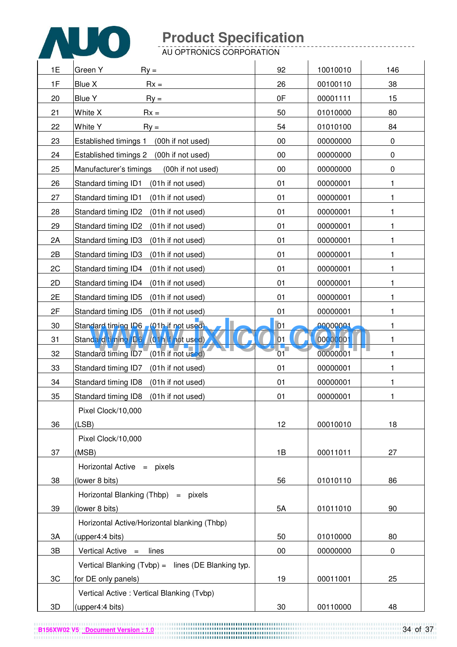

AU OPTRONICS CORPORATION

| 1E | Green Y<br>$Ry =$                                    | 92     | 10010010 | 146       |
|----|------------------------------------------------------|--------|----------|-----------|
| 1F | Blue X<br>$Rx =$                                     | 26     | 00100110 | 38        |
| 20 | <b>Blue Y</b><br>$Ry =$                              | 0F     | 00001111 | 15        |
| 21 | White X<br>$Rx =$                                    | 50     | 01010000 | 80        |
| 22 | White Y<br>$\mathsf{R}y =$                           | 54     | 01010100 | 84        |
| 23 | <b>Established timings 1</b><br>(00h if not used)    | 00     | 00000000 | $\pmb{0}$ |
| 24 | Established timings 2<br>(00h if not used)           | 00     | 00000000 | $\pmb{0}$ |
| 25 | Manufacturer's timings<br>(00h if not used)          | 00     | 00000000 | $\pmb{0}$ |
| 26 | Standard timing ID1<br>(01h if not used)             | 01     | 00000001 | 1         |
| 27 | Standard timing ID1<br>(01h if not used)             | 01     | 00000001 | 1         |
| 28 | Standard timing ID2<br>(01h if not used)             | 01     | 00000001 | 1         |
| 29 | Standard timing ID2<br>(01h if not used)             | 01     | 00000001 | 1         |
| 2A | Standard timing ID3<br>(01h if not used)             | 01     | 00000001 | 1         |
| 2B | Standard timing ID3<br>(01h if not used)             | 01     | 00000001 | 1         |
| 2C | Standard timing ID4<br>(01h if not used)             | 01     | 00000001 | 1         |
| 2D | Standard timing ID4<br>(01h if not used)             | 01     | 00000001 | 1         |
| 2E | Standard timing ID5<br>(01h if not used)             | 01     | 00000001 | 1         |
| 2F | Standard timing ID5<br>(01h if not used)             | 01     | 00000001 | 1         |
| 30 | Standard timing ID6 (01h if not used)                | 01     | 00000001 | 1         |
| 31 | Standard timing ID6 (01h if not used)                | 01     | 00000001 | 1         |
| 32 |                                                      | 01     | 00000001 | 1         |
| 33 | Standard timing ID7<br>(01h if not used)             | 01     | 00000001 | 1         |
| 34 | Standard timing ID8<br>(01h if not used)             | 01     | 00000001 | 1         |
| 35 | Standard timing ID8<br>(01h if not used)             | 01     | 00000001 |           |
|    | Pixel Clock/10,000                                   |        |          |           |
| 36 | (LSB)                                                | 12     | 00010010 | 18        |
|    | Pixel Clock/10,000                                   |        |          |           |
| 37 | (MSB)                                                | 1B     | 00011011 | 27        |
|    | Horizontal Active $=$ pixels                         |        |          |           |
| 38 | (lower 8 bits)                                       | 56     | 01010110 | 86        |
|    | Horizontal Blanking (Thbp) = pixels                  |        |          |           |
| 39 | (lower 8 bits)                                       | 5A     | 01011010 | 90        |
|    | Horizontal Active/Horizontal blanking (Thbp)         |        |          |           |
| 3A | (upper4:4 bits)                                      | 50     | 01010000 | 80        |
| 3B | Vertical Active $=$ lines                            | $00\,$ | 00000000 | 0         |
|    | Vertical Blanking $(Tvbp) =$ lines (DE Blanking typ. |        |          |           |
| 3C | for DE only panels)                                  | 19     | 00011001 | 25        |
|    | Vertical Active: Vertical Blanking (Tvbp)            |        |          |           |
| 3D | (upper4:4 bits)                                      | 30     | 00110000 | 48        |

**B156XW02 V5** Document Version : 1.0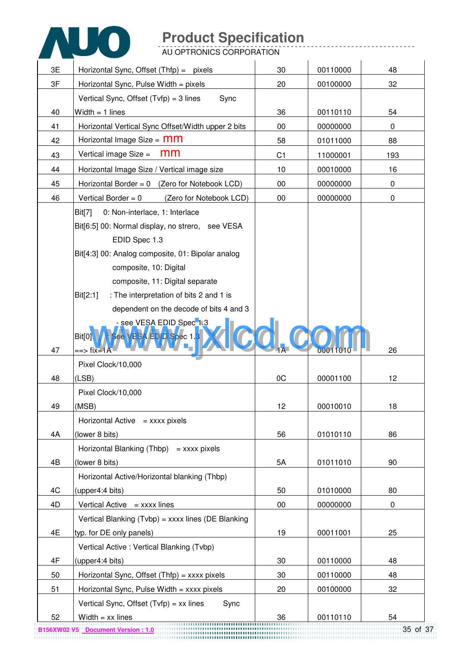

AU OPTRONICS CORPORATION

| 3E | Horizontal Sync, Offset (Thfp) = pixels              | 30             | 00110000 | 48        |
|----|------------------------------------------------------|----------------|----------|-----------|
| 3F | Horizontal Sync, Pulse Width = $pixels$              | 20             | 00100000 | 32        |
|    | Vertical Sync, Offset $(Tvfp) = 3$ lines<br>Sync     |                |          |           |
| 40 | Width $= 1$ lines                                    | 36             | 00110110 | 54        |
| 41 | Horizontal Vertical Sync Offset/Width upper 2 bits   | 00             | 00000000 | $\pmb{0}$ |
| 42 | Horizontal Image Size = $mm$                         | 58             | 01011000 | 88        |
| 43 | mm<br>Vertical image Size =                          | C <sub>1</sub> | 11000001 | 193       |
| 44 | Horizontal Image Size / Vertical image size          | 10             | 00010000 | 16        |
| 45 | Horizontal Border = $0$ (Zero for Notebook LCD)      | 00             | 00000000 | 0         |
| 46 | Vertical Border = $0$<br>(Zero for Notebook LCD)     | $00\,$         | 00000000 | $\pmb{0}$ |
|    | 0: Non-interlace, 1: Interlace<br>Bit[7]             |                |          |           |
|    | Bit[6:5] 00: Normal display, no strero, see VESA     |                |          |           |
|    | EDID Spec 1.3                                        |                |          |           |
|    | Bit[4:3] 00: Analog composite, 01: Bipolar analog    |                |          |           |
|    | composite, 10: Digital                               |                |          |           |
|    | composite, 11: Digital separate                      |                |          |           |
|    | : The interpretation of bits 2 and 1 is<br>Bit[2:1]  |                |          |           |
|    | dependent on the decode of bits 4 and 3              |                |          |           |
|    | <u>- see VESA EDID Spec<sup>-</sup>1.3</u>           |                |          |           |
| 47 | See VESA EDID Spec 1.3<br>Bit[0]<br>==> fix=1A       |                |          | 26        |
|    | Pixel Clock/10,000                                   |                |          |           |
| 48 | (LSB)                                                | 0C             | 00001100 | 12        |
|    | Pixel Clock/10,000                                   |                |          |           |
| 49 | (MSB)                                                | 12             | 00010010 | 18        |
|    | Horizontal Active $=$ xxxx pixels                    |                |          |           |
| 4A | (lower 8 bits)                                       | 56             | 01010110 | 86        |
|    | Horizontal Blanking (Thbp) = $xxxxx$ pixels          |                |          |           |
| 4B | (lower 8 bits)                                       | 5A             | 01011010 | 90        |
|    | Horizontal Active/Horizontal blanking (Thbp)         |                |          |           |
| 4C | (upper4:4 bits)                                      | 50             | 01010000 | 80        |
| 4D | Vertical Active $=$ xxxx lines                       | $00\,$         | 00000000 | 0         |
|    | Vertical Blanking $(Tvbp) = xxxx$ lines (DE Blanking |                |          |           |
| 4E | typ. for DE only panels)                             | 19             | 00011001 | 25        |
|    | Vertical Active: Vertical Blanking (Tvbp)            |                |          |           |
| 4F | (upper4:4 bits)                                      | 30             | 00110000 | 48        |
| 50 | Horizontal Sync, Offset $(Thfp) =$ xxxx pixels       | 30             | 00110000 | 48        |
| 51 | Horizontal Sync, Pulse Width $=$ xxxx pixels         | 20             | 00100000 | 32        |
|    | Vertical Sync, Offset $(Tvfp) = xx$ lines<br>Sync    |                |          |           |
| 52 | Width $=$ xx lines<br>                               | 36             | 00110110 | 54        |

35 of 37 **B156XW02 V5 Document Version : 1.0**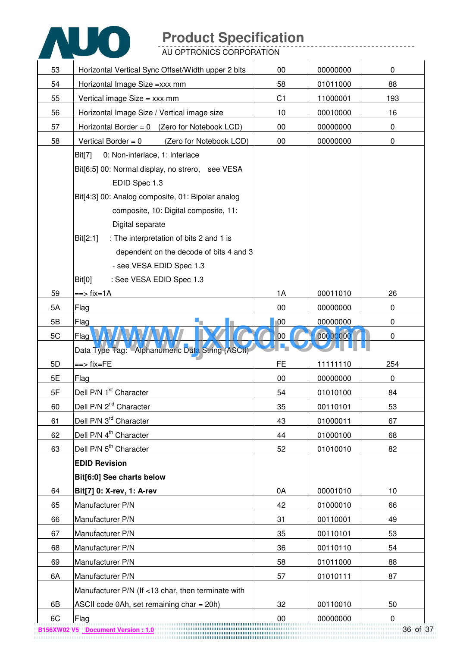

AU OPTRONICS CORPORATION

| 53 | Horizontal Vertical Sync Offset/Width upper 2 bits  | 00              | 00000000 | $\mathbf 0$      |
|----|-----------------------------------------------------|-----------------|----------|------------------|
| 54 | Horizontal Image Size = xxx mm                      | 58              | 01011000 | 88               |
| 55 | Vertical image Size = xxx mm                        | C <sub>1</sub>  | 11000001 | 193              |
| 56 | Horizontal Image Size / Vertical image size         | 10              | 00010000 | 16               |
| 57 | Horizontal Border = $0$ (Zero for Notebook LCD)     | 00              | 00000000 | $\mathbf 0$      |
| 58 | Vertical Border = $0$<br>(Zero for Notebook LCD)    | 00              | 00000000 | $\boldsymbol{0}$ |
|    | 0: Non-interlace, 1: Interlace<br>Bit[7]            |                 |          |                  |
|    | Bit[6:5] 00: Normal display, no strero, see VESA    |                 |          |                  |
|    | EDID Spec 1.3                                       |                 |          |                  |
|    | Bit[4:3] 00: Analog composite, 01: Bipolar analog   |                 |          |                  |
|    | composite, 10: Digital composite, 11:               |                 |          |                  |
|    | Digital separate                                    |                 |          |                  |
|    | : The interpretation of bits 2 and 1 is<br>Bit[2:1] |                 |          |                  |
|    | dependent on the decode of bits 4 and 3             |                 |          |                  |
|    | - see VESA EDID Spec 1.3                            |                 |          |                  |
|    | : See VESA EDID Spec 1.3<br><b>Bit[0]</b>           |                 |          |                  |
| 59 | ==> fix=1A                                          | 1A              | 00011010 | 26               |
| 5A | Flag                                                | 00              | 00000000 | $\mathbf 0$      |
| 5B | Flag                                                | $\overline{00}$ | 00000000 | 0                |
| 5C | Flag                                                | 00              | 00000000 | $\mathbf 0$      |
|    | Data Type Tag: Alphanumeric Data String (ASCII)     |                 |          |                  |
| 5D | ==> fix=FE                                          | <b>FE</b>       | 11111110 | 254              |
| 5E | Flag                                                | 00              | 00000000 | $\mathbf 0$      |
| 5F | Dell P/N 1 <sup>st</sup> Character                  | 54              | 01010100 | 84               |
| 60 | Dell P/N 2 <sup>nd</sup> Character                  | 35              | 00110101 | 53               |
| 61 | Dell P/N 3 <sup>rd</sup> Character                  | 43              | 01000011 | 67               |
| 62 | Dell P/N 4 <sup>th</sup> Character                  | 44              | 01000100 | 68               |
| 63 | Dell P/N 5 <sup>th</sup> Character                  | 52              | 01010010 | 82               |
|    | <b>EDID Revision</b>                                |                 |          |                  |
|    | Bit[6:0] See charts below                           |                 |          |                  |
| 64 | Bit[7] 0: X-rev, 1: A-rev                           | 0A              | 00001010 | 10               |
| 65 | Manufacturer P/N                                    | 42              | 01000010 | 66               |
| 66 |                                                     |                 |          |                  |
|    | Manufacturer P/N                                    | 31              | 00110001 | 49               |
| 67 | Manufacturer P/N                                    | 35              | 00110101 | 53               |
| 68 | Manufacturer P/N                                    | 36              | 00110110 | 54               |
| 69 | Manufacturer P/N                                    | 58              | 01011000 | 88               |
| 6A | Manufacturer P/N                                    | 57              | 01010111 | 87               |
|    | Manufacturer P/N (If <13 char, then terminate with  |                 |          |                  |
| 6B | ASCII code 0Ah, set remaining char = 20h)           | 32              | 00110010 | 50               |

36 of 37 **B156XW02 V5 Document Version : 1.0**